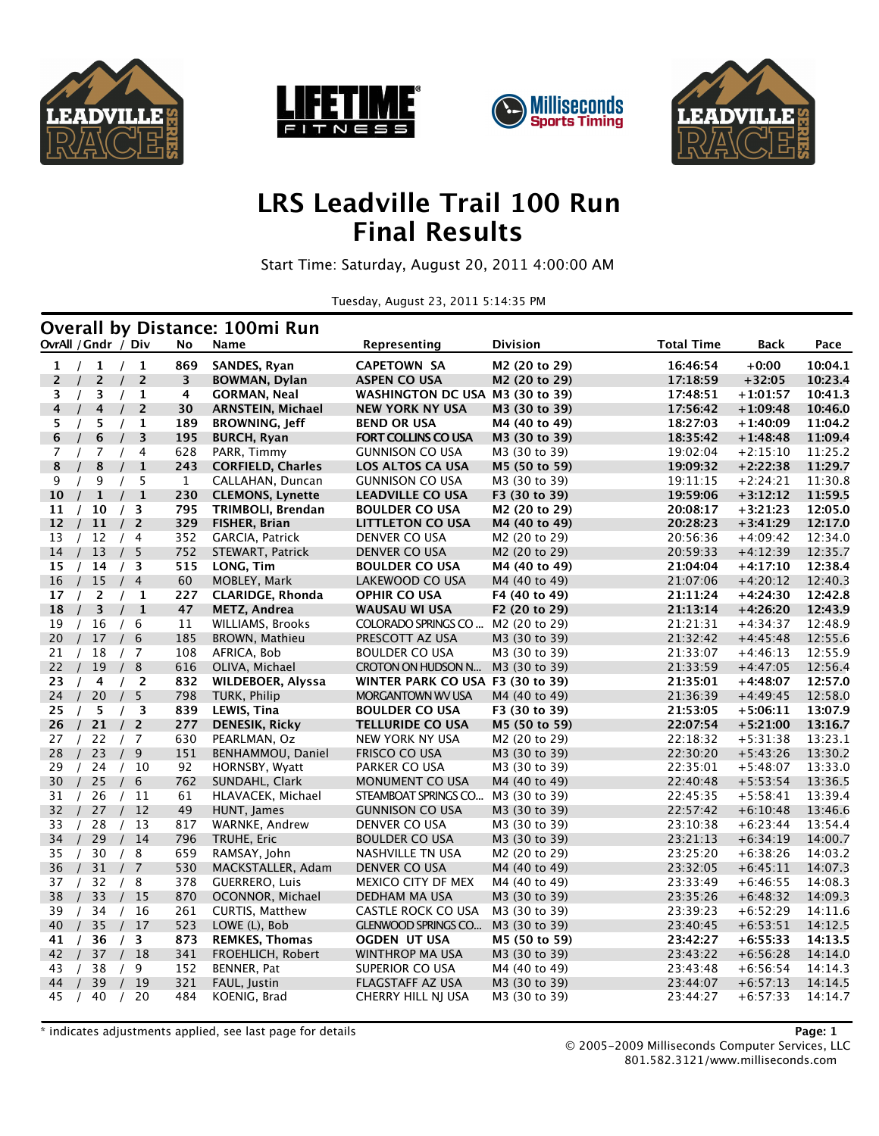







## **LRS Leadville Trail 100 Run Final Results**

Start Time: Saturday, August 20, 2011 4:00:00 AM

Tuesday, August 23, 2011 5:14:35 PM

|                |                            |                            |              | <b>Overall by Distance: 100mi Run</b> |                                   |                                |                      |                          |                    |
|----------------|----------------------------|----------------------------|--------------|---------------------------------------|-----------------------------------|--------------------------------|----------------------|--------------------------|--------------------|
|                | OvrAll / Gndr / Div        |                            | No           | Name                                  | Representing                      | Division                       | <b>Total Time</b>    | Back                     | Pace               |
| 1              | $\mathbf{1}$<br>$\sqrt{ }$ | /1                         | 869          | SANDES, Ryan                          | <b>CAPETOWN SA</b>                | M2 (20 to 29)                  | 16:46:54             | $+0:00$                  | 10:04.1            |
| 2              | $\overline{c}$             | $\overline{2}$             | 3            | BOWMAN, Dylan                         | <b>ASPEN CO USA</b>               | M2 (20 to 29)                  | 17:18:59             | $+32:05$                 | 10:23.4            |
| 3              | 3<br>$\prime$              | 1<br>$\prime$              | 4            | <b>GORMAN, Neal</b>                   | <b>WASHINGTON DC USA</b>          | M3 (30 to 39)                  | 17:48:51             | +1:01:57                 | 10:41.3            |
| 4              | 4<br>$\prime$              | $\overline{2}$             | 30           | <b>ARNSTEIN, Michael</b>              | <b>NEW YORK NY USA</b>            | M3 (30 to 39)                  | 17:56:42             | $+1:09:48$               | 10:46.0            |
| 5              | 5<br>$\prime$              | 1<br>$\prime$              | 189          | <b>BROWNING, Jeff</b>                 | <b>BEND OR USA</b>                | M4 (40 to 49)                  | 18:27:03             | $+1:40:09$               | 11:04.2            |
| 6              | 6                          | 3                          | 195          | <b>BURCH, Ryan</b>                    | <b>FORT COLLINS CO USA</b>        | M3 (30 to 39)                  | 18:35:42             | $+1:48:48$               | 11:09.4            |
| $\overline{7}$ | 7                          | 4                          | 628          | PARR, Timmy                           | <b>GUNNISON CO USA</b>            | M3 (30 to 39)                  | 19:02:04             | $+2:15:10$               | 11:25.2            |
| 8              | 8                          | $\mathbf{1}$               | 243          | <b>CORFIELD, Charles</b>              | <b>LOS ALTOS CA USA</b>           | M5 (50 to 59)                  | 19:09:32             | $+2:22:38$               | 11:29.7            |
| 9              | 9                          | 5                          | $\mathbf{1}$ | CALLAHAN, Duncan                      | <b>GUNNISON CO USA</b>            | M3 (30 to 39)                  | 19:11:15             | $+2:24:21$               | 11:30.8            |
| 10             | $\mathbf{1}$<br>$\prime$   | $\mathbf{1}$<br>$\prime$   | 230          | <b>CLEMONS, Lynette</b>               | <b>LEADVILLE CO USA</b>           | F3 (30 to 39)                  | 19:59:06             | $+3:12:12$               | 11:59.5            |
| 11             | 10                         | 3                          | 795          | TRIMBOLI, Brendan                     | <b>BOULDER CO USA</b>             | M2 (20 to 29)                  | 20:08:17             | $+3:21:23$               | 12:05.0            |
| 12             | 11                         | $\overline{2}$<br>$\prime$ | 329          | <b>FISHER, Brian</b>                  | <b>LITTLETON CO USA</b>           | M4 (40 to 49)                  | 20:28:23             | $+3:41:29$               | 12:17.0            |
| 13             | 12                         | /4                         | 352          | GARCIA, Patrick                       | DENVER CO USA                     | M2 (20 to 29)                  | 20:56:36             | $+4:09:42$               | 12:34.0            |
| 14             | 13                         | 5                          | 752          | STEWART, Patrick                      | DENVER CO USA                     | M <sub>2</sub> (20 to 29)      | 20:59:33             | $+4:12:39$               | 12:35.7            |
| 15             | 14<br>$\prime$             | /3                         | 515          | LONG, Tim                             | <b>BOULDER CO USA</b>             | M4 (40 to 49)                  | 21:04:04             | $+4:17:10$               | 12:38.4            |
| 16             | 15                         | $\overline{4}$<br>$\prime$ | 60           | MOBLEY, Mark                          | LAKEWOOD CO USA                   | M4 (40 to 49)                  | 21:07:06             | $+4:20:12$               | 12:40.3            |
| 17             | 2                          | 1                          | 227          | <b>CLARIDGE, Rhonda</b>               | <b>OPHIR CO USA</b>               | F4 (40 to 49)                  | 21:11:24             | $+4:24:30$               | 12:42.8            |
| 18             | 3                          | $\mathbf{1}$               | 47           | METZ, Andrea                          | <b>WAUSAU WI USA</b>              | F2 (20 to 29)                  | 21:13:14             | $+4:26:20$               | 12:43.9            |
| 19             | 16<br>$\prime$             | 6<br>$\prime$              | 11           | <b>WILLIAMS, Brooks</b>               | COLORADO SPRINGS CO               | M <sub>2</sub> (20 to 29)      | 21:21:31             | $+4:34:37$               | 12:48.9            |
| 20             | 17                         | 6<br>$\prime$              | 185          | BROWN, Mathieu                        | PRESCOTT AZ USA                   | M3 (30 to 39)                  | 21:32:42             | $+4:45:48$               | 12:55.6            |
| 21             | 18                         | /7                         | 108          | AFRICA, Bob                           | <b>BOULDER CO USA</b>             | M3 (30 to 39)                  | 21:33:07             | $+4:46:13$               | 12:55.9            |
| 22             | 19                         | 8<br>$\prime$              | 616          | OLIVA, Michael                        | CROTON ON HUDSON N                | M3 (30 to 39)                  | 21:33:59             | $+4:47:05$               | 12:56.4            |
| 23             | $\prime$<br>4              | /2                         | 832          | WILDEBOER, Alyssa                     | WINTER PARK CO USA F3 (30 to 39)  |                                | 21:35:01             | $+4:48:07$               | 12:57.0            |
| 24             | 20                         | 5                          | 798          | TURK, Philip                          | MORGANTOWN WV USA                 | M4 (40 to 49)                  | 21:36:39             | $+4:49:45$               | 12:58.0            |
| 25             | 5<br>$\prime$              | /3                         | 839          | LEWIS, Tina                           | <b>BOULDER CO USA</b>             | F3 (30 to 39)                  | 21:53:05             | $+5:06:11$               | 13:07.9            |
| 26             | 21                         | $\overline{2}$<br>$\prime$ | 277          | <b>DENESIK, Ricky</b>                 | <b>TELLURIDE CO USA</b>           | M5 (50 to 59)                  | 22:07:54             | $+5:21:00$               | 13:16.7            |
| 27             | 22<br>$\prime$             | /7                         | 630          | PEARLMAN, Oz                          | NEW YORK NY USA                   | M <sub>2</sub> (20 to 29)      | 22:18:32             | $+5:31:38$               | 13:23.1            |
| 28             | 23<br>$\prime$             | $9\,$<br>$\prime$          | 151          | BENHAMMOU, Daniel                     | FRISCO CO USA                     | M3 (30 to 39)                  | 22:30:20             | $+5:43:26$               | 13:30.2            |
| 29             | 24                         | /10                        | 92           | HORNSBY, Wyatt                        | PARKER CO USA                     | M3 (30 to 39)                  | 22:35:01             | $+5:48:07$               | 13:33.0            |
| 30             | 25<br>$\sqrt{ }$           | 6<br>$\prime$              | 762          | SUNDAHL, Clark                        | <b>MONUMENT CO USA</b>            | M4 (40 to 49)                  | 22:40:48             | $+5:53:54$               | 13:36.5            |
| 31             | 26                         | 11                         | 61           | HLAVACEK, Michael                     | STEAMBOAT SPRINGS CO              | M3 (30 to 39)                  | 22:45:35             | $+5:58:41$               | 13:39.4            |
| 32             | 27                         | 12                         | 49           | HUNT, James                           | <b>GUNNISON CO USA</b>            | M3 (30 to 39)                  | 22:57:42<br>23:10:38 | $+6:10:48$               | 13:46.6            |
| 33             | 28                         | 13<br>14                   | 817          | WARNKE, Andrew                        | DENVER CO USA                     | M3 (30 to 39)                  | 23:21:13             | $+6:23:44$               | 13:54.4            |
| 34             | 29                         | /8                         | 796<br>659   | TRUHE, Eric                           | <b>BOULDER CO USA</b>             | M3 (30 to 39)                  |                      | $+6:34:19$<br>$+6:38:26$ | 14:00.7<br>14:03.2 |
| 35<br>36       | 30                         | 7<br>$\prime$              | 530          | RAMSAY, John<br>MACKSTALLER, Adam     | NASHVILLE TN USA<br>DENVER CO USA | M2 (20 to 29)<br>M4 (40 to 49) | 23:25:20<br>23:32:05 | $+6:45:11$               | 14:07.3            |
| 37             | 31<br>32                   | 8<br>$\prime$              | 378          | <b>GUERRERO, Luis</b>                 | MEXICO CITY DF MEX                | M4 (40 to 49)                  | 23:33:49             | $+6:46:55$               | 14:08.3            |
| 38             | 33                         | 15                         | 870          | OCONNOR, Michael                      | DEDHAM MA USA                     | M3 (30 to 39)                  | 23:35:26             | $+6:48:32$               | 14:09.3            |
| 39             | 34                         | 16<br>$\prime$             | 261          | CURTIS, Matthew                       | CASTLE ROCK CO USA                | M3 (30 to 39)                  | 23:39:23             | $+6:52:29$               | 14:11.6            |
| 40             | 35                         | 17                         | 523          | LOWE (L), Bob                         | <b>GLENWOOD SPRINGS CO</b>        | M3 (30 to 39)                  | 23:40:45             | $+6:53:51$               | 14:12.5            |
| 41             | 36                         | 3<br>$\sqrt{ }$            | 873          | <b>REMKES, Thomas</b>                 | OGDEN UT USA                      | M5 (50 to 59)                  | 23:42:27             | $+6:55:33$               | 14:13.5            |
| 42             | 37                         | 18<br>$\overline{L}$       | 341          | FROEHLICH, Robert                     | WINTHROP MA USA                   | M3 (30 to 39)                  | 23:43:22             | $+6:56:28$               | 14:14.0            |
| 43             | 38                         | 9<br>$\prime$              | 152          | BENNER, Pat                           | SUPERIOR CO USA                   | M4 (40 to 49)                  | 23:43:48             | $+6:56:54$               | 14:14.3            |
| 44             | 39                         | 19                         | 321          | FAUL, Justin                          | FLAGSTAFF AZ USA                  | M3 (30 to 39)                  | 23:44:07             | $+6:57:13$               | 14:14.5            |
| 45             | 40<br>$\sqrt{ }$           | 20<br>$\prime$             | 484          | KOENIG, Brad                          | CHERRY HILL NJ USA                | M3 (30 to 39)                  | 23:44:27             | $+6:57:33$               | 14:14.7            |
|                |                            |                            |              |                                       |                                   |                                |                      |                          |                    |

\* indicates adjustments applied, see last page for details **Page: 1**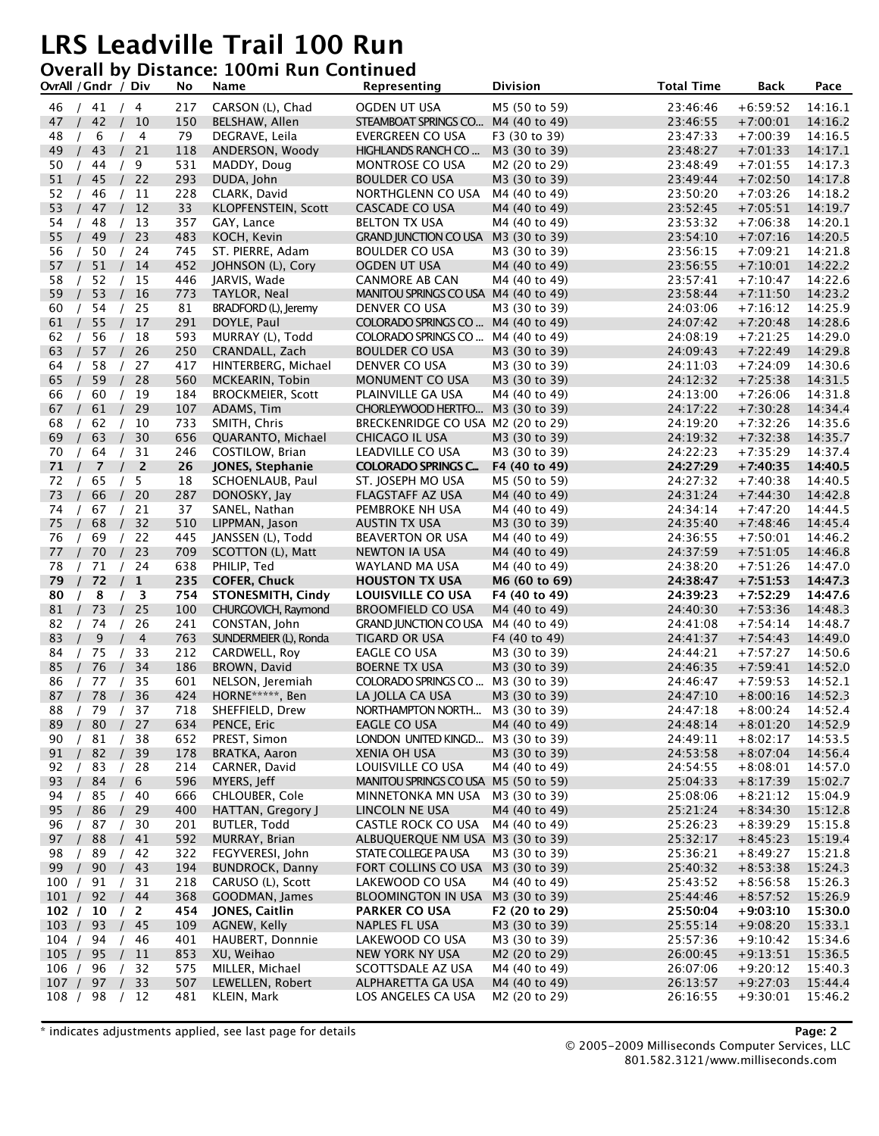#### **Overall by Distance: 100mi Run Continued**

|                   | OvrAll / Gndr / Div        |                            | No         | Name                                   | Representing                                              | <b>Division</b>                | <b>Total Time</b>    | <b>Back</b>              | Pace               |
|-------------------|----------------------------|----------------------------|------------|----------------------------------------|-----------------------------------------------------------|--------------------------------|----------------------|--------------------------|--------------------|
| 46                | /41 / 4                    |                            | 217        | CARSON (L), Chad                       | OGDEN UT USA                                              | M5 (50 to 59)                  | 23:46:46             | $+6:59:52$               | 14:16.1            |
| 47                | 42                         | 10<br>$\sqrt{ }$           | 150        | BELSHAW, Allen                         | STEAMBOAT SPRINGS CO                                      | M4 (40 to 49)                  | 23:46:55             | $+7:00:01$               | 14:16.2            |
| 48                | 6                          | 4                          | 79         | DEGRAVE, Leila                         | EVERGREEN CO USA                                          | F3 (30 to 39)                  | 23:47:33             | $+7:00:39$               | 14:16.5            |
| 49                | 43                         | 21                         | 118        | ANDERSON, Woody                        | HIGHLANDS RANCH CO                                        | M3 (30 to 39)                  | 23:48:27             | $+7:01:33$               | 14:17.1            |
| 50                | 44                         | 9                          | 531        | MADDY, Doug                            | <b>MONTROSE CO USA</b>                                    | M2 (20 to 29)                  | 23:48:49             | $+7:01:55$               | 14:17.3            |
| 51                | 45                         | 22                         | 293        | DUDA, John                             | <b>BOULDER CO USA</b>                                     | M3 (30 to 39)                  | 23:49:44             | $+7:02:50$               | 14:17.8            |
| 52                | 46                         | 11<br>$\sqrt{ }$           | 228        | CLARK, David                           | NORTHGLENN CO USA                                         | M4 (40 to 49)                  | 23:50:20             | $+7:03:26$               | 14:18.2            |
| 53                | 47<br>$\prime$             | 12                         | 33         | KLOPFENSTEIN, Scott                    | <b>CASCADE CO USA</b>                                     | M4 (40 to 49)                  | 23:52:45             | $+7:05:51$               | 14:19.7            |
| 54                | 48                         | 13                         | 357        | GAY, Lance                             | <b>BELTON TX USA</b>                                      | M4 (40 to 49)                  | 23:53:32             | $+7:06:38$               | 14:20.1            |
| 55                | 49                         | 23                         | 483        | KOCH, Kevin                            | <b>GRAND JUNCTION CO USA</b>                              | M3 (30 to 39)                  | 23:54:10             | $+7:07:16$               | 14:20.5            |
| 56<br>57          | 50<br>51                   | 24<br>14                   | 745<br>452 | ST. PIERRE, Adam                       | <b>BOULDER CO USA</b><br><b>OGDEN UT USA</b>              | M3 (30 to 39)<br>M4 (40 to 49) | 23:56:15<br>23:56:55 | $+7:09:21$<br>$+7:10:01$ | 14:21.8<br>14:22.2 |
| 58                | 52                         | 15                         | 446        | JOHNSON (L), Cory<br>JARVIS, Wade      | <b>CANMORE AB CAN</b>                                     | M4 (40 to 49)                  | 23:57:41             | $+7:10:47$               | 14:22.6            |
| 59                | 53                         | 16<br>$\prime$             | 773        | TAYLOR, Neal                           | MANITOU SPRINGS CO USA M4 (40 to 49)                      |                                | 23:58:44             | $+7:11:50$               | 14:23.2            |
| 60                | 54                         | 25                         | 81         | BRADFORD (L), Jeremy                   | DENVER CO USA                                             | M3 (30 to 39)                  | 24:03:06             | $+7:16:12$               | 14:25.9            |
| 61                | 55                         | 17                         | 291        | DOYLE, Paul                            | COLORADO SPRINGS CO                                       | M4 (40 to 49)                  | 24:07:42             | $+7:20:48$               | 14:28.6            |
| 62                | 56                         | 18                         | 593        | MURRAY (L), Todd                       | COLORADO SPRINGS CO                                       | M4 (40 to 49)                  | 24:08:19             | $+7:21:25$               | 14:29.0            |
| 63                | 57                         | 26                         | 250        | CRANDALL, Zach                         | <b>BOULDER CO USA</b>                                     | M3 (30 to 39)                  | 24:09:43             | $+7:22:49$               | 14:29.8            |
| 64                | 58                         | 27<br>$\sqrt{ }$           | 417        | HINTERBERG, Michael                    | DENVER CO USA                                             | M3 (30 to 39)                  | 24:11:03             | $+7:24:09$               | 14:30.6            |
| 65                | 59                         | 28                         | 560        | MCKEARIN, Tobin                        | MONUMENT CO USA                                           | M3 (30 to 39)                  | 24:12:32             | $+7:25:38$               | 14:31.5            |
| 66                | 60                         | 19                         | 184        | <b>BROCKMEIER, Scott</b>               | PLAINVILLE GA USA                                         | M4 (40 to 49)                  | 24:13:00             | $+7:26:06$               | 14:31.8            |
| 67                | 61                         | 29                         | 107        | ADAMS, Tim                             | CHORLEYWOOD HERTFO                                        | M3 (30 to 39)                  | 24:17:22             | $+7:30:28$               | 14:34.4            |
| 68                | 62                         | 10                         | 733        | SMITH, Chris                           | BRECKENRIDGE CO USA M2 (20 to 29)                         |                                | 24:19:20             | $+7:32:26$               | 14:35.6            |
| 69                | 63                         | 30                         | 656        | QUARANTO, Michael                      | CHICAGO IL USA                                            | M3 (30 to 39)                  | 24:19:32             | $+7:32:38$               | 14:35.7            |
| 70<br>$\sqrt{ }$  | 64                         | 31<br>$\sqrt{ }$           | 246        | COSTILOW, Brian                        | LEADVILLE CO USA                                          | M3 (30 to 39)                  | 24:22:23             | $+7:35:29$               | 14:37.4            |
| 71                | 7<br>$\prime$              | $\overline{2}$<br>$\prime$ | 26         | <b>JONES, Stephanie</b>                | <b>COLORADO SPRINGS C</b>                                 | F4 (40 to 49)                  | 24:27:29             | $+7:40:35$               | 14:40.5            |
| 72                | 65                         | 5                          | 18         | SCHOENLAUB, Paul                       | ST. JOSEPH MO USA                                         | M5 (50 to 59)                  | 24:27:32             | $+7:40:38$               | 14:40.5            |
| 73                | 66                         | 20                         | 287        | DONOSKY, Jay                           | <b>FLAGSTAFF AZ USA</b>                                   | M4 (40 to 49)                  | 24:31:24             | $+7:44:30$               | 14:42.8            |
| 74                | 67                         | 21<br>32                   | 37         | SANEL, Nathan                          | PEMBROKE NH USA                                           | M4 (40 to 49)                  | 24:34:14             | $+7:47:20$               | 14:44.5            |
| 75<br>76          | 68<br>$\sqrt{ }$           | 22<br>$\sqrt{ }$           | 510<br>445 | LIPPMAN, Jason                         | AUSTIN TX USA<br><b>BEAVERTON OR USA</b>                  | M3 (30 to 39)<br>M4 (40 to 49) | 24:35:40<br>24:36:55 | $+7:48:46$<br>$+7:50:01$ | 14:45.4<br>14:46.2 |
| 77                | 69<br>70<br>$\overline{1}$ | 23<br>$\prime$             | 709        | JANSSEN (L), Todd<br>SCOTTON (L), Matt | <b>NEWTON IA USA</b>                                      | M4 (40 to 49)                  | 24:37:59             | $+7:51:05$               | 14:46.8            |
| 78                | 71                         | 24                         | 638        | PHILIP, Ted                            | WAYLAND MA USA                                            | M4 (40 to 49)                  | 24:38:20             | $+7:51:26$               | 14:47.0            |
| 79                | 72                         | $\mathbf{1}$<br>$\prime$   | 235        | <b>COFER, Chuck</b>                    | <b>HOUSTON TX USA</b>                                     | M6 (60 to 69)                  | 24:38:47             | $+7:51:53$               | 14:47.3            |
| 80                | 8                          | 3                          | 754        | <b>STONESMITH, Cindy</b>               | LOUISVILLE CO USA                                         | F4 (40 to 49)                  | 24:39:23             | $+7:52:29$               | 14:47.6            |
| 81                | 73                         | 25                         | 100        | CHURGOVICH, Raymond                    | <b>BROOMFIELD CO USA</b>                                  | M4 (40 to 49)                  | 24:40:30             | $+7:53:36$               | 14:48.3            |
| 82                | 74<br>$\prime$             | 26<br>$\sqrt{ }$           | 241        | CONSTAN, John                          | <b>GRAND JUNCTION CO USA</b>                              | M4 (40 to 49)                  | 24:41:08             | $+7:54:14$               | 14:48.7            |
| 83                | 9                          | $\overline{4}$             | 763        | SUNDERMEIER (L), Ronda                 | <b>TIGARD OR USA</b>                                      | F4 (40 to 49)                  | 24:41:37             | $+7:54:43$               | 14:49.0            |
| 84                | 75                         | 33                         | 212        | CARDWELL, Roy                          | EAGLE CO USA                                              | M3 (30 to 39)                  | 24:44:21             | $+7:57:27$               | 14:50.6            |
| 85                | 76                         | 34                         | 186        | BROWN, David                           | <b>BOERNE TX USA</b>                                      | M3 (30 to 39)                  | 24:46:35             | $+7:59:41$               | 14:52.0            |
| 86                | 77                         | 35                         | 601        | NELSON, Jeremiah                       | COLORADO SPRINGS CO                                       | M3 (30 to 39)                  | 24:46:47             | $+7:59:53$               | 14:52.1            |
| 87                | 78                         | 36                         | 424        | HORNE*****, Ben                        | LA JOLLA CA USA                                           | M3 (30 to 39)                  | 24:47:10             | $+8:00:16$               | 14:52.3            |
| 88                | 79 /<br>$\sqrt{ }$         | 37                         | 718        | SHEFFIELD, Drew                        | NORTHAMPTON NORTH M3 (30 to 39)                           |                                | 24:47:18             | $+8:00:24$               | 14:52.4            |
| 89<br>$\sqrt{ }$  | 80/                        | 27                         | 634        | PENCE, Eric                            | <b>EAGLE CO USA</b>                                       | M4 (40 to 49)                  | 24:48:14             | $+8:01:20$               | 14:52.9            |
| 90                | 81                         | 38                         | 652        | PREST, Simon                           | LONDON UNITED KINGD                                       | M3 (30 to 39)                  | 24:49:11             | $+8:02:17$               | 14:53.5            |
| 91                | 82                         | 39                         | 178        | BRATKA, Aaron<br>CARNER, David         | XENIA OH USA                                              | M3 (30 to 39)                  | 24:53:58             | $+8:07:04$               | 14:56.4            |
| 92<br>93          | 83<br>84                   | 28<br>6                    | 214<br>596 | MYERS, Jeff                            | LOUISVILLE CO USA<br>MANITOU SPRINGS CO USA M5 (50 to 59) | M4 (40 to 49)                  | 24:54:55<br>25:04:33 | $+8:08:01$<br>$+8:17:39$ | 14:57.0<br>15:02.7 |
| 94                | 85                         | 40<br>$\sqrt{ }$           | 666        | CHLOUBER, Cole                         | MINNETONKA MN USA                                         | M3 (30 to 39)                  | 25:08:06             | $+8:21:12$               | 15:04.9            |
| 95<br>$\sqrt{ }$  | 86                         | 29<br>$\prime$             | 400        | HATTAN, Gregory J                      | LINCOLN NE USA                                            | M4 (40 to 49)                  | 25:21:24             | $+8:34:30$               | 15:12.8            |
| 96                | 87                         | 30                         | 201        | <b>BUTLER, Todd</b>                    | <b>CASTLE ROCK CO USA</b>                                 | M4 (40 to 49)                  | 25:26:23             | $+8:39:29$               | 15:15.8            |
| 97                | 88                         | 41                         | 592        | MURRAY, Brian                          | ALBUQUERQUE NM USA M3 (30 to 39)                          |                                | 25:32:17             | $+8:45:23$               | 15:19.4            |
| 98                | 89                         | 42                         | 322        | FEGYVERESI, John                       | STATE COLLEGE PA USA                                      | M3 (30 to 39)                  | 25:36:21             | $+8:49:27$               | 15:21.8            |
| 99                | 90                         | 43                         | 194        | <b>BUNDROCK, Danny</b>                 | FORT COLLINS CO USA M3 (30 to 39)                         |                                | 25:40:32             | $+8:53:38$               | 15:24.3            |
| 100 /             | 91                         | 31                         | 218        | CARUSO (L), Scott                      | LAKEWOOD CO USA                                           | M4 (40 to 49)                  | 25:43:52             | $+8:56:58$               | 15:26.3            |
| 101 /             | 92                         | 44<br>$\sqrt{ }$           | 368        | GOODMAN, James                         | <b>BLOOMINGTON IN USA</b>                                 | M3 (30 to 39)                  | 25:44:46             | $+8:57:52$               | 15:26.9            |
| 102 /             | 10                         | $\overline{2}$             | 454        | JONES, Caitlin                         | <b>PARKER CO USA</b>                                      | F2 (20 to 29)                  | 25:50:04             | $+9:03:10$               | 15:30.0            |
| 103 /             | 93                         | 45                         | 109        | AGNEW, Kelly                           | NAPLES FL USA                                             | M3 (30 to 39)                  | 25:55:14             | $+9:08:20$               | 15:33.1            |
| 104 /             | 94                         | 46                         | 401        | HAUBERT, Donnnie                       | LAKEWOOD CO USA                                           | M3 (30 to 39)                  | 25:57:36             | $+9:10:42$               | 15:34.6            |
| 105 /             | 95                         | 11                         | 853        | XU, Weihao                             | NEW YORK NY USA                                           | M2 (20 to 29)                  | 26:00:45             | $+9:13:51$               | 15:36.5            |
| 106 /             | 96                         | 32                         | 575        | MILLER, Michael                        | SCOTTSDALE AZ USA                                         | M4 (40 to 49)                  | 26:07:06             | $+9:20:12$               | 15:40.3            |
| 107 / 97<br>108 / |                            | 33<br>$\sqrt{ }$<br>12     | 507<br>481 | LEWELLEN, Robert                       | ALPHARETTA GA USA                                         | M4 (40 to 49)                  | 26:13:57             | $+9:27:03$               | 15:44.4<br>15:46.2 |
|                   | 98                         |                            |            | KLEIN, Mark                            | LOS ANGELES CA USA                                        | M2 (20 to 29)                  | 26:16:55             | $+9:30:01$               |                    |

\* indicates adjustments applied, see last page for details **Page: 2**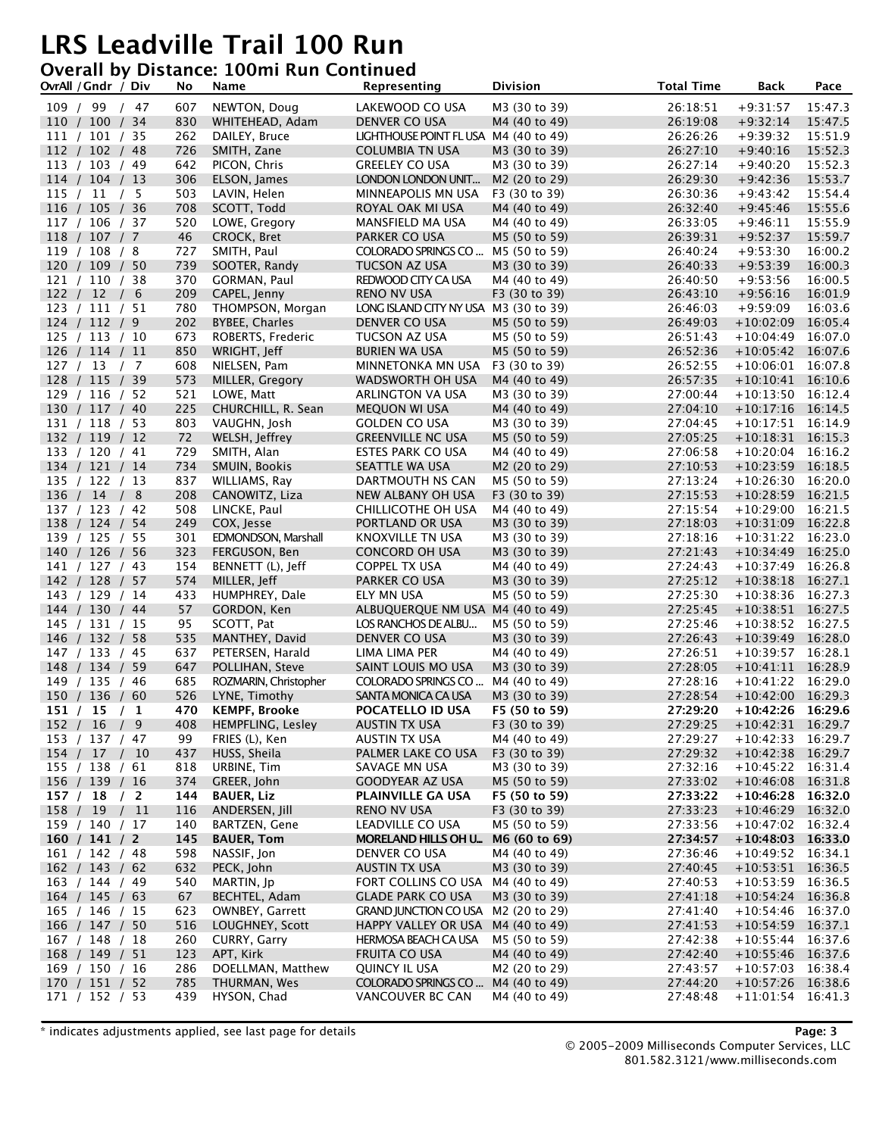### **Overall by Distance: 100mi Run Continued**

| OvrAll / Gndr / Div              |               | No         | Name                                      | Representing                                                | <b>Division</b>                | <b>Total Time</b>    | <b>Back</b>                                | Pace               |
|----------------------------------|---------------|------------|-------------------------------------------|-------------------------------------------------------------|--------------------------------|----------------------|--------------------------------------------|--------------------|
| 109 / 99 / 47                    |               | 607        | NEWTON, Doug                              | LAKEWOOD CO USA                                             | M3 (30 to 39)                  | 26:18:51             | $+9:31:57$                                 | 15:47.3            |
| 110 / 100 / 34                   |               | 830        | WHITEHEAD, Adam                           | DENVER CO USA                                               | M4 (40 to 49)                  | 26:19:08             | $+9:32:14$                                 | 15:47.5            |
| 111 / 101 / 35                   |               | 262        | DAILEY, Bruce                             | LIGHTHOUSE POINT FL USA M4 (40 to 49)                       |                                | 26:26:26             | $+9:39:32$                                 | 15:51.9            |
| 112 / 102 / 48                   |               | 726        | SMITH, Zane                               | COLUMBIA TN USA                                             | M3 (30 to 39)                  | 26:27:10             | $+9:40:16$                                 | 15:52.3            |
| 113 / 103 / 49                   |               | 642        | PICON, Chris                              | <b>GREELEY CO USA</b>                                       | M3 (30 to 39)                  | 26:27:14             | $+9:40:20$                                 | 15:52.3            |
| 114 / 104 / 13                   |               | 306        | ELSON, James                              | LONDON LONDON UNIT                                          | M2 (20 to 29)                  | 26:29:30             | $+9:42:36$                                 | 15:53.7            |
| 115 / 11 / 5                     |               | 503        | LAVIN, Helen                              | MINNEAPOLIS MN USA                                          | F3 (30 to 39)                  | 26:30:36             | $+9:43:42$                                 | 15:54.4            |
| 116 / 105 / 36                   |               | 708        | SCOTT, Todd                               | ROYAL OAK MI USA                                            | M4 (40 to 49)                  | 26:32:40             | $+9:45:46$                                 | 15:55.6            |
| 117 / 106 / 37                   |               | 520        | LOWE, Gregory                             | MANSFIELD MA USA                                            | M4 (40 to 49)                  | 26:33:05             | $+9:46:11$                                 | 15:55.9            |
| 118 / 107 / 7                    |               | 46         | CROCK, Bret                               | PARKER CO USA                                               | M5 (50 to 59)                  | 26:39:31             | $+9:52:37$                                 | 15:59.7            |
| 119 / 108 / 8                    |               | 727        | SMITH, Paul                               | COLORADO SPRINGS CO                                         | M5 (50 to 59)                  | 26:40:24             | $+9:53:30$                                 | 16:00.2            |
| 120 / 109 / 50                   |               | 739        | SOOTER, Randy                             | TUCSON AZ USA                                               | M3 (30 to 39)                  | 26:40:33             | $+9:53:39$                                 | 16:00.3            |
| 121 / 110 / 38                   |               | 370        | GORMAN, Paul                              | REDWOOD CITY CA USA                                         | M4 (40 to 49)                  | 26:40:50             | $+9:53:56$                                 | 16:00.5            |
| 122 / 12 / 6<br>123 / 111 / 51   |               | 209<br>780 | CAPEL, Jenny                              | <b>RENO NV USA</b><br>LONG ISLAND CITY NY USA M3 (30 to 39) | F3 (30 to 39)                  | 26:43:10<br>26:46:03 | $+9:56:16$<br>$+9:59:09$                   | 16:01.9<br>16:03.6 |
| 124 / 112 / 9                    |               | 202        | THOMPSON, Morgan<br><b>BYBEE, Charles</b> | DENVER CO USA                                               | M5 (50 to 59)                  | 26:49:03             | $+10:02:09$                                | 16:05.4            |
| 125 / 113 / 10                   |               | 673        | ROBERTS, Frederic                         | TUCSON AZ USA                                               | M5 (50 to 59)                  | 26:51:43             | $+10:04:49$                                | 16:07.0            |
| 126 / 114 / 11                   |               | 850        | WRIGHT, Jeff                              | <b>BURIEN WA USA</b>                                        | M5 (50 to 59)                  | 26:52:36             | $+10:05:42$ 16:07.6                        |                    |
| 127 / 13 / 7                     |               | 608        | NIELSEN, Pam                              | MINNETONKA MN USA                                           | F3 (30 to 39)                  | 26:52:55             | $+10:06:01$                                | 16:07.8            |
| 128 / 115 / 39                   |               | 573        | MILLER, Gregory                           | WADSWORTH OH USA                                            | M4 (40 to 49)                  | 26:57:35             | $+10:10:41$ 16:10.6                        |                    |
| 129 / 116 / 52                   |               | 521        | LOWE, Matt                                | ARLINGTON VA USA                                            | M3 (30 to 39)                  | 27:00:44             | $+10:13:50$                                | 16:12.4            |
| 130 / 117 / 40                   |               | 225        | CHURCHILL, R. Sean                        | <b>MEQUON WI USA</b>                                        | M4 (40 to 49)                  | 27:04:10             | $+10:17:16$ 16:14.5                        |                    |
| 131 / 118 / 53                   |               | 803        | VAUGHN, Josh                              | <b>GOLDEN CO USA</b>                                        | M3 (30 to 39)                  | 27:04:45             | $+10:17:51$ 16:14.9                        |                    |
| 132 / 119 / 12                   |               | 72         | WELSH, Jeffrey                            | <b>GREENVILLE NC USA</b>                                    | M5 (50 to 59)                  | 27:05:25             | $+10:18:31$ 16:15.3                        |                    |
| 133 / 120 / 41                   |               | 729        | SMITH, Alan                               | ESTES PARK CO USA                                           | M4 (40 to 49)                  | 27:06:58             | $+10:20:04$ 16:16.2                        |                    |
| 134 / 121 / 14                   |               | 734        | SMUIN, Bookis                             | <b>SEATTLE WA USA</b>                                       | M2 (20 to 29)                  | 27:10:53             | $+10:23:59$ 16:18.5                        |                    |
| 135 / 122 / 13                   |               | 837        | WILLIAMS, Ray                             | DARTMOUTH NS CAN                                            | M5 (50 to 59)                  | 27:13:24             | $+10:26:30$                                | 16:20.0            |
| 136 / 14 / 8                     |               | 208        | CANOWITZ, Liza                            | NEW ALBANY OH USA                                           | F3 (30 to 39)                  | 27:15:53             | $+10:28:59$ 16:21.5                        |                    |
| 137 / 123 / 42                   |               | 508        | LINCKE, Paul                              | CHILLICOTHE OH USA                                          | M4 (40 to 49)                  | 27:15:54             | $+10:29:00$ 16:21.5                        |                    |
| 138 / 124 / 54                   |               | 249        | COX, Jesse                                | PORTLAND OR USA                                             | M3 (30 to 39)                  | 27:18:03             | $+10:31:09$ 16:22.8                        |                    |
| 139 / 125 / 55                   |               | 301        | EDMONDSON, Marshall                       | KNOXVILLE TN USA                                            | M3 (30 to 39)                  | 27:18:16             | $+10:31:22$ 16:23.0                        |                    |
| 140 / 126 / 56                   |               | 323        | FERGUSON, Ben                             | <b>CONCORD OH USA</b>                                       | M3 (30 to 39)                  | 27:21:43             | $+10:34:49$ 16:25.0                        |                    |
| 141 / 127 / 43                   |               | 154        | BENNETT (L), Jeff                         | COPPEL TX USA                                               | M4 (40 to 49)                  | 27:24:43             | $+10:37:49$                                | 16:26.8            |
| 142 / 128 / 57                   |               | 574        | MILLER, Jeff                              | PARKER CO USA                                               | M3 (30 to 39)                  | 27:25:12             | $+10:38:18$ 16:27.1                        |                    |
| 143 / 129 / 14                   |               | 433<br>57  | HUMPHREY, Dale                            | ELY MN USA<br>ALBUQUERQUE NM USA M4 (40 to 49)              | M5 (50 to 59)                  | 27:25:30<br>27:25:45 | $+10:38:36$ 16:27.3<br>$+10:38:51$ 16:27.5 |                    |
| 144 / 130 / 44<br>145 / 131 / 15 |               | 95         | GORDON, Ken<br>SCOTT, Pat                 | LOS RANCHOS DE ALBU                                         | M5 (50 to 59)                  | 27:25:46             | $+10:38:52$ 16:27.5                        |                    |
| 146 / 132 / 58                   |               | 535        | MANTHEY, David                            | DENVER CO USA                                               | M3 (30 to 39)                  | 27:26:43             | $+10:39:49$ 16:28.0                        |                    |
| 147 / 133 / 45                   |               | 637        | PETERSEN, Harald                          | LIMA LIMA PER                                               | M4 (40 to 49)                  | 27:26:51             | $+10:39:57$ 16:28.1                        |                    |
| 148 / 134 / 59                   |               | 647        | POLLIHAN, Steve                           | SAINT LOUIS MO USA                                          | M3 (30 to 39)                  | 27:28:05             | $+10:41:11$ 16:28.9                        |                    |
| 149 / 135 / 46                   |               | 685        | ROZMARIN, Christopher                     | COLORADO SPRINGS CO                                         | M4 (40 to 49)                  | 27:28:16             | $+10:41:22$ 16:29.0                        |                    |
| 150 / 136 / 60                   |               | 526        | LYNE, Timothy                             | SANTA MONICA CA USA                                         | M3 (30 to 39)                  | 27:28:54             | $+10:42:00$ 16:29.3                        |                    |
| 151 / 15 / 1                     |               | 470        | <b>KEMPF, Brooke</b>                      | POCATELLO ID USA                                            | F5 (50 to 59)                  | 27:29:20             | $+10:42:26$ 16:29.6                        |                    |
| 152 / 16 / 9                     |               | 408        | HEMPFLING, Lesley                         | <b>AUSTIN TX USA</b>                                        | F3 (30 to 39)                  | 27:29:25             | $+10:42:31$ 16:29.7                        |                    |
| 153 / 137 / 47                   |               | 99         | FRIES (L), Ken                            | <b>AUSTIN TX USA</b>                                        | M4 (40 to 49)                  | 27:29:27             | $+10:42:33$ 16:29.7                        |                    |
| 154 / 17 / 10                    |               | 437        | HUSS, Sheila                              | PALMER LAKE CO USA                                          | F3 (30 to 39)                  | 27:29:32             | $+10:42:38$ 16:29.7                        |                    |
| 155 / 138 / 61                   |               | 818        | URBINE, Tim                               | SAVAGE MN USA                                               | M3 (30 to 39)                  | 27:32:16             | $+10:45:22$ 16:31.4                        |                    |
| 156 / 139 / 16                   |               | 374        | GREER, John                               | <b>GOODYEAR AZ USA</b>                                      | M5 (50 to 59)                  | 27:33:02             | $+10:46:08$ 16:31.8                        |                    |
| 157 / 18                         | $\frac{1}{2}$ | 144        | <b>BAUER, Liz</b>                         | PLAINVILLE GA USA                                           | F5 (50 to 59)                  | 27:33:22             | $+10:46:28$ 16:32.0                        |                    |
| 158 / 19 / 11                    |               | 116        | ANDERSEN, Jill                            | <b>RENO NV USA</b>                                          | F3 (30 to 39)                  | 27:33:23             | $+10:46:29$ 16:32.0                        |                    |
| 159 / 140 / 17                   |               | 140        | BARTZEN, Gene                             | LEADVILLE CO USA                                            | M5 (50 to 59)                  | 27:33:56             | $+10:47:02$ 16:32.4                        |                    |
| 160 / 141 / 2                    |               | 145        | <b>BAUER, Tom</b><br>NASSIF, Jon          | <b>MORELAND HILLS OH U</b>                                  | M6 (60 to 69)                  | 27:34:57             | $+10:48:03$ 16:33.0                        |                    |
| 161 / 142 / 48<br>162 / 143 / 62 |               | 598<br>632 | PECK, John                                | DENVER CO USA<br><b>AUSTIN TX USA</b>                       | M4 (40 to 49)<br>M3 (30 to 39) | 27:36:46<br>27:40:45 | $+10:49:52$ 16:34.1<br>$+10:53:51$ 16:36.5 |                    |
| 163 / 144 / 49                   |               | 540        | MARTIN, Jp                                | FORT COLLINS CO USA                                         | M4 (40 to 49)                  | 27:40:53             | $+10:53:59$ 16:36.5                        |                    |
| 164 / 145 / 63                   |               | 67         | BECHTEL, Adam                             | <b>GLADE PARK CO USA</b>                                    | M3 (30 to 39)                  | 27:41:18             | $+10:54:24$ 16:36.8                        |                    |
| 165 / 146 / 15                   |               | 623        | OWNBEY, Garrett                           | GRAND JUNCTION CO USA M2 (20 to 29)                         |                                | 27:41:40             | $+10:54:46$ 16:37.0                        |                    |
| 166 / 147 / 50                   |               | 516        | LOUGHNEY, Scott                           | HAPPY VALLEY OR USA                                         | M4 (40 to 49)                  | 27:41:53             | $+10:54:59$ 16:37.1                        |                    |
| 167 / 148 / 18                   |               | 260        | CURRY, Garry                              | <b>HERMOSA BEACH CA USA</b>                                 | M5 (50 to 59)                  | 27:42:38             | $+10:55:44$ 16:37.6                        |                    |
| 168 / 149 / 51                   |               | 123        | APT, Kirk                                 | FRUITA CO USA                                               | M4 (40 to 49)                  | 27:42:40             | $+10:55:46$ 16:37.6                        |                    |
| 169 / 150 / 16                   |               | 286        | DOELLMAN, Matthew                         | QUINCY IL USA                                               | M2 (20 to 29)                  | 27:43:57             | $+10:57:03$ 16:38.4                        |                    |
| 170 / 151 / 52                   |               | 785        | THURMAN, Wes                              | COLORADO SPRINGS CO                                         | M4 (40 to 49)                  | 27:44:20             | $+10:57:26$ 16:38.6                        |                    |
| 171 / 152 / 53                   |               | 439        | HYSON, Chad                               | VANCOUVER BC CAN                                            | M4 (40 to 49)                  | 27:48:48             | $+11:01:54$ 16:41.3                        |                    |
|                                  |               |            |                                           |                                                             |                                |                      |                                            |                    |

\* indicates adjustments applied, see last page for details **Page: 3**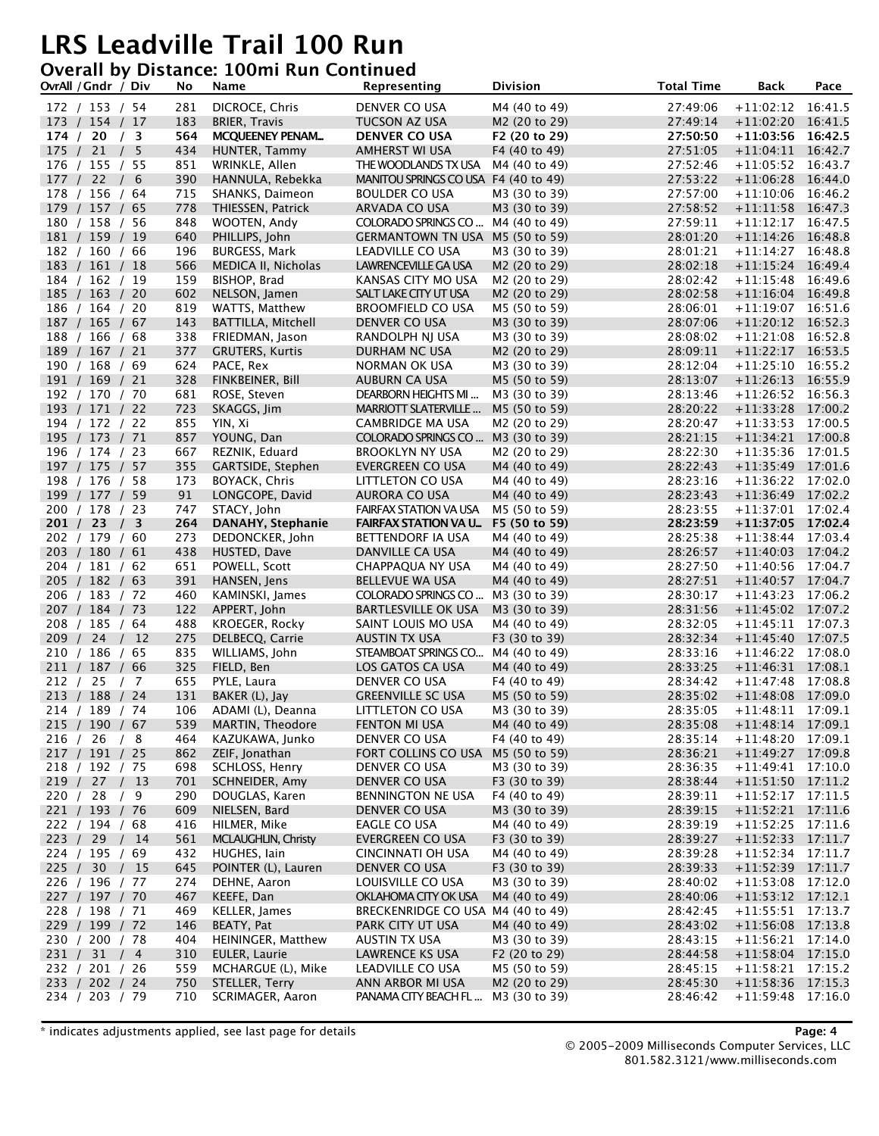#### **Overall by Distance: 100mi Run Continued**

| OvrAll / Gndr / Div              | No         | Name                                 | Representing                              | <b>Division</b>                | <b>Total Time</b>    | <b>Back</b>                                | Pace    |
|----------------------------------|------------|--------------------------------------|-------------------------------------------|--------------------------------|----------------------|--------------------------------------------|---------|
| 172 / 153 / 54                   | 281        | DICROCE, Chris                       | DENVER CO USA                             | M4 (40 to 49)                  | 27:49:06             | $+11:02:12$                                | 16:41.5 |
| 173 / 154 / 17                   | 183        | <b>BRIER, Travis</b>                 | TUCSON AZ USA                             | M2 (20 to 29)                  | 27:49:14             | $+11:02:20$ 16:41.5                        |         |
| 174 / 20 / 3                     | 564        | <b>MCQUEENEY PENAM</b>               | <b>DENVER CO USA</b>                      | F2 (20 to 29)                  | 27:50:50             | $+11:03:56$ 16:42.5                        |         |
| 175 / 21 / 5                     | 434        | HUNTER, Tammy                        | AMHERST WI USA                            | F4 (40 to 49)                  | 27:51:05             | $+11:04:11$                                | 16:42.7 |
| 176 / 155 / 55                   | 851        | WRINKLE, Allen                       | THE WOODLANDS TX USA                      | M4 (40 to 49)                  | 27:52:46             | $+11:05:52$ 16:43.7                        |         |
| 177 / 22 / 6                     | 390        | HANNULA, Rebekka                     | MANITOU SPRINGS CO USA F4 (40 to 49)      |                                | 27:53:22             | $+11:06:28$ 16:44.0                        |         |
| 178 / 156 / 64                   | 715        | SHANKS, Daimeon                      | <b>BOULDER CO USA</b>                     | M3 (30 to 39)                  | 27:57:00             | $+11:10:06$ 16:46.2                        |         |
| 179 / 157 / 65                   | 778        | THIESSEN, Patrick                    | ARVADA CO USA                             | M3 (30 to 39)                  | 27:58:52             | $+11:11:58$ 16:47.3                        |         |
| 180 / 158 / 56                   | 848        | WOOTEN, Andy                         | COLORADO SPRINGS CO                       | M4 (40 to 49)                  | 27:59:11             | $+11:12:17$ 16:47.5                        |         |
| 181 / 159 / 19                   | 640        | PHILLIPS, John                       | <b>GERMANTOWN TN USA</b>                  | M5 (50 to 59)                  | 28:01:20             | $+11:14:26$                                | 16:48.8 |
| 182 / 160 / 66                   | 196        | <b>BURGESS, Mark</b>                 | LEADVILLE CO USA                          | M3 (30 to 39)                  | 28:01:21             | $+11:14:27$ 16:48.8                        |         |
| 183 / 161 / 18                   | 566        | MEDICA II, Nicholas                  | <b>LAWRENCEVILLE GA USA</b>               | M2 (20 to 29)                  | 28:02:18             | $+11:15:24$ 16:49.4                        |         |
| 184 / 162 / 19                   | 159        | BISHOP, Brad                         | KANSAS CITY MO USA                        | M2 (20 to 29)                  | 28:02:42             | $+11:15:48$ 16:49.6                        |         |
| 185 / 163 / 20                   | 602<br>819 | NELSON, Jamen                        | SALT LAKE CITY UT USA                     | M2 (20 to 29)<br>M5 (50 to 59) | 28:02:58<br>28:06:01 | $+11:16:04$ 16:49.8<br>$+11:19:07$ 16:51.6 |         |
| 186 / 164 / 20<br>187 / 165 / 67 | 143        | WATTS, Matthew<br>BATTILLA, Mitchell | <b>BROOMFIELD CO USA</b><br>DENVER CO USA | M3 (30 to 39)                  | 28:07:06             | $+11:20:12$                                | 16:52.3 |
| 188 / 166 / 68                   | 338        | FRIEDMAN, Jason                      | RANDOLPH NJ USA                           | M3 (30 to 39)                  | 28:08:02             | $+11:21:08$ 16:52.8                        |         |
| 189 / 167 / 21                   | 377        | <b>GRUTERS, Kurtis</b>               | DURHAM NC USA                             | M2 (20 to 29)                  | 28:09:11             | $+11:22:17$ 16:53.5                        |         |
| 190 / 168 / 69                   | 624        | PACE, Rex                            | NORMAN OK USA                             | M3 (30 to 39)                  | 28:12:04             | $+11:25:10$ 16:55.2                        |         |
| 191 / 169 / 21                   | 328        | FINKBEINER, Bill                     | AUBURN CA USA                             | M5 (50 to 59)                  | 28:13:07             | $+11:26:13$ 16:55.9                        |         |
| 192 / 170 / 70                   | 681        | ROSE, Steven                         | DEARBORN HEIGHTS MI                       | M3 (30 to 39)                  | 28:13:46             | $+11:26:52$ 16:56.3                        |         |
| 193 / 171 / 22                   | 723        | SKAGGS, Jim                          | MARRIOTT SLATERVILLE                      | M5 (50 to 59)                  | 28:20:22             | $+11:33:28$                                | 17:00.2 |
| 194 / 172 / 22                   | 855        | YIN, Xi                              | <b>CAMBRIDGE MA USA</b>                   | M2 (20 to 29)                  | 28:20:47             | $+11:33:53$ 17:00.5                        |         |
| 195 / 173 / 71                   | 857        | YOUNG, Dan                           | COLORADO SPRINGS CO                       | M3 (30 to 39)                  | 28:21:15             | $+11:34:21$ 17:00.8                        |         |
| 196 / 174 / 23                   | 667        | REZNIK, Eduard                       | <b>BROOKLYN NY USA</b>                    | M2 (20 to 29)                  | 28:22:30             | $+11:35:36$ 17:01.5                        |         |
| 197 / 175 / 57                   | 355        | <b>GARTSIDE, Stephen</b>             | <b>EVERGREEN CO USA</b>                   | M4 (40 to 49)                  | 28:22:43             | $+11:35:49$ 17:01.6                        |         |
| 198 / 176 / 58                   | 173        | BOYACK, Chris                        | LITTLETON CO USA                          | M4 (40 to 49)                  | 28:23:16             | $+11:36:22$ 17:02.0                        |         |
| 199 / 177 / 59                   | 91         | LONGCOPE, David                      | <b>AURORA CO USA</b>                      | M4 (40 to 49)                  | 28:23:43             | $+11:36:49$ 17:02.2                        |         |
| 200 / 178 / 23                   | 747        | STACY, John                          | <b>FAIRFAX STATION VA USA</b>             | M5 (50 to 59)                  | 28:23:55             | $+11:37:01$ 17:02.4                        |         |
| 201 / 23 / 3                     | 264        | DANAHY, Stephanie                    | <b>FAIRFAX STATION VA U</b>               | F5 (50 to 59)                  | 28:23:59             | $+11:37:05$ 17:02.4                        |         |
| 202 / 179 / 60                   | 273        | DEDONCKER, John                      | BETTENDORF IA USA                         | M4 (40 to 49)                  | 28:25:38             | $+11:38:44$ 17:03.4                        |         |
| 203 / 180 / 61                   | 438        | HUSTED, Dave                         | DANVILLE CA USA                           | M4 (40 to 49)                  | 28:26:57             | $+11:40:03$ 17:04.2                        |         |
| 204 / 181 / 62                   | 651        | POWELL, Scott                        | CHAPPAQUA NY USA                          | M4 (40 to 49)                  | 28:27:50             | $+11:40:56$ 17:04.7                        |         |
| 205 / 182 / 63                   | 391        | HANSEN, Jens                         | <b>BELLEVUE WA USA</b>                    | M4 (40 to 49)                  | 28:27:51             | $+11:40:57$ 17:04.7                        |         |
| 206 / 183 / 72                   | 460<br>122 | KAMINSKI, James                      | COLORADO SPRINGS CO                       | M3 (30 to 39)                  | 28:30:17<br>28:31:56 | $+11:43:23$ 17:06.2<br>$+11:45:02$ 17:07.2 |         |
| 207 / 184 / 73<br>208 / 185 / 64 | 488        | APPERT, John<br>KROEGER, Rocky       | BARTLESVILLE OK USA<br>SAINT LOUIS MO USA | M3 (30 to 39)<br>M4 (40 to 49) | 28:32:05             | $+11:45:11$ 17:07.3                        |         |
| 209 / 24 / 12                    | 275        | DELBECQ, Carrie                      | <b>AUSTIN TX USA</b>                      | F3 (30 to 39)                  | 28:32:34             | $+11:45:40$ 17:07.5                        |         |
| 210 / 186 / 65                   | 835        | WILLIAMS, John                       | STEAMBOAT SPRINGS CO                      | M4 (40 to 49)                  | 28:33:16             | $+11:46:22$ 17:08.0                        |         |
| 211 / 187 / 66                   | 325        | FIELD, Ben                           | LOS GATOS CA USA                          | M4 (40 to 49)                  | 28:33:25             | $+11:46:31$                                | 17:08.1 |
| 212 / 25 / 7                     | 655        | PYLE, Laura                          | DENVER CO USA                             | F4 (40 to 49)                  | 28:34:42             | $+11:47:48$ 17:08.8                        |         |
| 213 / 188 / 24                   | 131        | BAKER (L), Jay                       | <b>GREENVILLE SC USA</b>                  | M5 (50 to 59)                  | 28:35:02             | $+11:48:08$ 17:09.0                        |         |
| 214 / 189 / 74                   | 106        | ADAMI (L), Deanna                    | LITTLETON CO USA                          | M3 (30 to 39)                  | 28:35:05             | $+11:48:11$ 17:09.1                        |         |
| 215 / 190 / 67                   | 539        | MARTIN, Theodore                     | <b>FENTON MI USA</b>                      | M4 (40 to 49)                  | 28:35:08             | $+11:48:14$ 17:09.1                        |         |
| 216 / 26 / 8                     | 464        | KAZUKAWA, Junko                      | DENVER CO USA                             | F4 (40 to 49)                  | 28:35:14             | $+11:48:20$ 17:09.1                        |         |
| 217 / 191 / 25                   | 862        | ZEIF, Jonathan                       | FORT COLLINS CO USA                       | M5 (50 to 59)                  | 28:36:21             | $+11:49:27$ 17:09.8                        |         |
| 218 / 192 / 75                   | 698        | SCHLOSS, Henry                       | DENVER CO USA                             | M3 (30 to 39)                  | 28:36:35             | $+11:49:41$ 17:10.0                        |         |
| 219 / 27 / 13                    | 701        | SCHNEIDER, Amy                       | DENVER CO USA                             | F3 (30 to 39)                  | 28:38:44             | $+11:51:50$ 17:11.2                        |         |
| 220 / 28 / 9                     | 290        | DOUGLAS, Karen                       | BENNINGTON NE USA                         | F4 (40 to 49)                  | 28:39:11             | $+11:52:17$ 17:11.5                        |         |
| 221 / 193 / 76                   | 609        | NIELSEN, Bard                        | DENVER CO USA                             | M3 (30 to 39)                  | 28:39:15             | $+11:52:21$ 17:11.6                        |         |
| 222 / 194 / 68                   | 416        | HILMER, Mike                         | EAGLE CO USA                              | M4 (40 to 49)                  | 28:39:19             | $+11:52:25$ 17:11.6                        |         |
| 223 / 29 / 14                    | 561        | MCLAUGHLIN, Christy                  | EVERGREEN CO USA                          | F3 (30 to 39)                  | 28:39:27             | $+11:52:33$ 17:11.7                        |         |
| 224 / 195 / 69                   | 432        | HUGHES, lain                         | <b>CINCINNATI OH USA</b>                  | M4 (40 to 49)                  | 28:39:28             | $+11:52:34$ 17:11.7                        |         |
| 225 / 30 / 15                    | 645        | POINTER (L), Lauren                  | DENVER CO USA                             | F3 (30 to 39)                  | 28:39:33             | $+11:52:39$ 17:11.7                        |         |
| 226 / 196 / 77<br>227 / 197 / 70 | 274        | DEHNE, Aaron<br>KEEFE, Dan           | LOUISVILLE CO USA<br>OKLAHOMA CITY OK USA | M3 (30 to 39)                  | 28:40:02             | $+11:53:08$ 17:12.0                        |         |
| 228 / 198 / 71                   | 467<br>469 | KELLER, James                        | BRECKENRIDGE CO USA M4 (40 to 49)         | M4 (40 to 49)                  | 28:40:06<br>28:42:45 | $+11:53:12$ 17:12.1<br>$+11:55:51$ 17:13.7 |         |
| 229 / 199 / 72                   | 146        | BEATY, Pat                           | PARK CITY UT USA                          | M4 (40 to 49)                  | 28:43:02             | $+11:56:08$ 17:13.8                        |         |
| 230 / 200 / 78                   | 404        | HEININGER, Matthew                   | <b>AUSTIN TX USA</b>                      | M3 (30 to 39)                  | 28:43:15             | $+11:56:21$ 17:14.0                        |         |
| 231 / 31 / 4                     | 310        | EULER, Laurie                        | LAWRENCE KS USA                           | F2 (20 to 29)                  | 28:44:58             | $+11:58:04$ 17:15.0                        |         |
| 232 / 201 / 26                   | 559        | MCHARGUE (L), Mike                   | LEADVILLE CO USA                          | M5 (50 to 59)                  | 28:45:15             | $+11:58:21$ 17:15.2                        |         |
| 233 / 202 / 24                   | 750        | STELLER, Terry                       | ANN ARBOR MI USA                          | M2 (20 to 29)                  | 28:45:30             | $+11:58:36$ 17:15.3                        |         |
| 234 / 203 / 79                   | 710        | SCRIMAGER, Aaron                     | PANAMA CITY BEACH FL                      | M3 (30 to 39)                  | 28:46:42             | $+11:59:48$                                | 17:16.0 |
|                                  |            |                                      |                                           |                                |                      |                                            |         |

\* indicates adjustments applied, see last page for details **Page: 4**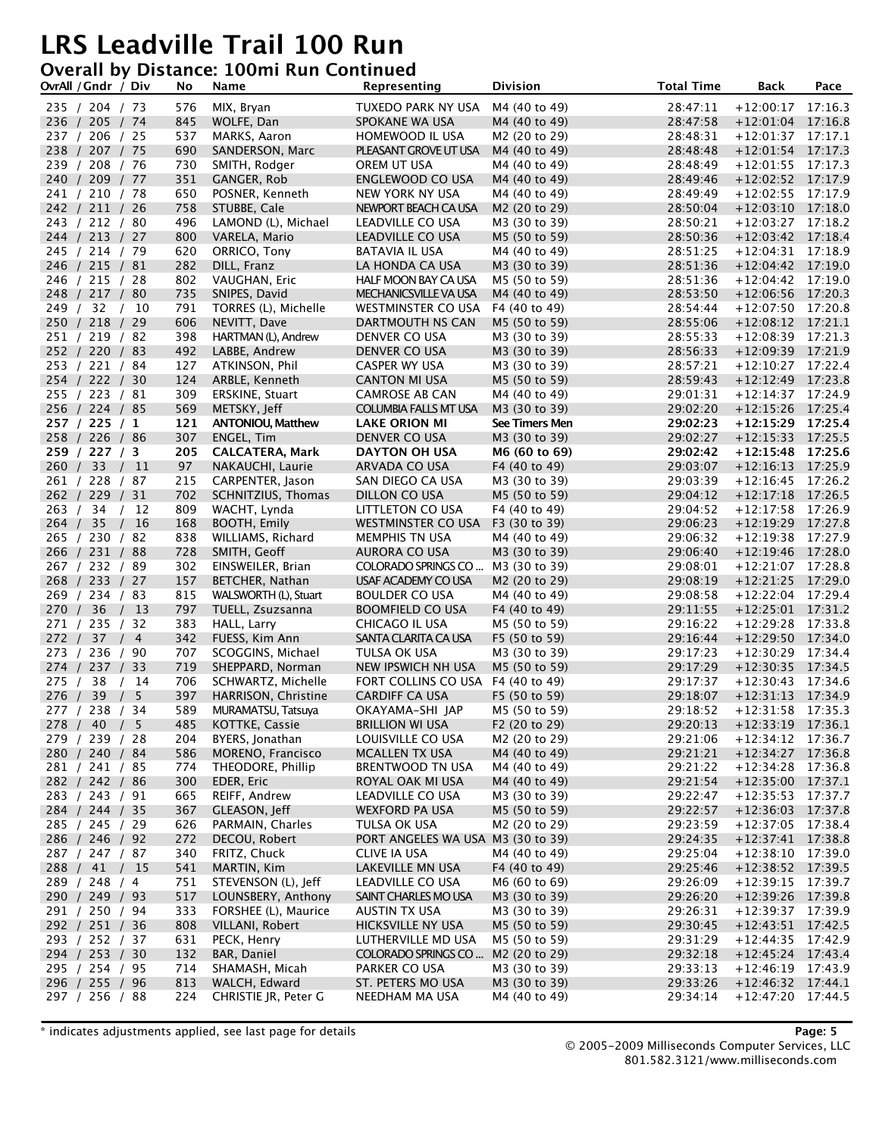#### **Overall by Distance: 100mi Run Continued**

|       | OvrAll / Gndr / Div              |                        | No         | Name                               | Representing                                      | <b>Division</b>           | <b>Total Time</b>    | <b>Back</b>                                | Pace    |
|-------|----------------------------------|------------------------|------------|------------------------------------|---------------------------------------------------|---------------------------|----------------------|--------------------------------------------|---------|
|       | 235 / 204 / 73                   |                        | 576        | MIX, Bryan                         | TUXEDO PARK NY USA                                | M4 (40 to 49)             | 28:47:11             | $+12:00:17$ 17:16.3                        |         |
|       | 236 / 205 / 74                   |                        | 845        | WOLFE, Dan                         | SPOKANE WA USA                                    | M4 (40 to 49)             | 28:47:58             | $+12:01:04$ 17:16.8                        |         |
|       | 237 / 206 / 25                   |                        | 537        | MARKS, Aaron                       | HOMEWOOD IL USA                                   | M <sub>2</sub> (20 to 29) | 28:48:31             | $+12:01:37$ 17:17.1                        |         |
|       | 238 / 207 / 75                   |                        | 690        | SANDERSON, Marc                    | PLEASANT GROVE UT USA                             | M4 (40 to 49)             | 28:48:48             | $+12:01:54$ 17:17.3                        |         |
|       | 239 / 208 / 76                   |                        | 730        | SMITH, Rodger                      | OREM UT USA                                       | M4 (40 to 49)             | 28:48:49             | $+12:01:55$ 17:17.3                        |         |
|       | 240 / 209 / 77                   |                        | 351        | GANGER, Rob                        | ENGLEWOOD CO USA                                  | M4 (40 to 49)             | 28:49:46             | $+12:02:52$ 17:17.9                        |         |
|       | 241 / 210 / 78                   |                        | 650        | POSNER, Kenneth                    | NEW YORK NY USA                                   | M4 (40 to 49)             | 28.49.49             | $+12:02:55$ 17:17.9                        |         |
|       | 242 / 211 / 26                   |                        | 758        | STUBBE, Cale                       | NEWPORT BEACH CA USA                              | M2 (20 to 29)             | 28:50:04             | $+12:03:10$ 17:18.0                        |         |
|       | 243 / 212 / 80                   |                        | 496        | LAMOND (L), Michael                | LEADVILLE CO USA                                  | M3 (30 to 39)             | 28:50:21             | $+12:03:27$ 17:18.2                        |         |
|       | 244 / 213 / 27                   |                        | 800        | VARELA, Mario                      | LEADVILLE CO USA                                  | M5 (50 to 59)             | 28:50:36             | $+12:03:42$ 17:18.4                        |         |
|       | 245 / 214 / 79                   |                        | 620        | ORRICO, Tony                       | BATAVIA IL USA                                    | M4 (40 to 49)             | 28:51:25             | $+12:04:31$ 17:18.9                        |         |
|       | 246 / 215 / 81                   |                        | 282        | DILL, Franz                        | LA HONDA CA USA                                   | M3 (30 to 39)             | 28:51:36             | $+12:04:42$                                | 17:19.0 |
|       | 246 / 215 / 28                   |                        | 802        | VAUGHAN, Eric                      | HALF MOON BAY CA USA                              | M5 (50 to 59)             | 28:51:36             | +12:04:42 17:19.0                          |         |
|       | 248 / 217 / 80                   |                        | 735        | SNIPES, David                      | MECHANICSVILLE VA USA                             | M4 (40 to 49)             | 28:53:50             | $+12:06:56$ 17:20.3                        |         |
|       | 249 / 32 / 10                    |                        | 791        | TORRES (L), Michelle               | WESTMINSTER CO USA                                | F4 (40 to 49)             | 28:54:44             | $+12:07:50$ 17:20.8                        |         |
|       | 250 / 218 / 29                   |                        | 606        | NEVITT, Dave                       | DARTMOUTH NS CAN                                  | M5 (50 to 59)             | 28:55:06             | $+12:08:12$ 17:21.1                        |         |
|       | 251 / 219 / 82                   |                        | 398        | HARTMAN (L), Andrew                | DENVER CO USA                                     | M3 (30 to 39)             | 28:55:33             | $+12:08:39$ 17:21.3                        |         |
|       | 252 / 220 / 83                   |                        | 492        | LABBE, Andrew                      | DENVER CO USA                                     | M3 (30 to 39)             | 28:56:33             | $+12:09:39$                                | 17:21.9 |
|       | 253 / 221 / 84                   |                        | 127        | ATKINSON, Phil                     | CASPER WY USA                                     | M3 (30 to 39)             | 28:57:21             | +12:10:27 17:22.4                          |         |
|       | 254 / 222 / 30                   |                        | 124        | ARBLE, Kenneth                     | <b>CANTON MI USA</b>                              | M5 (50 to 59)             | 28:59:43             | $+12:12:49$ 17:23.8                        |         |
|       | 255 / 223 / 81                   |                        | 309        | ERSKINE, Stuart                    | <b>CAMROSE AB CAN</b>                             | M4 (40 to 49)             | 29:01:31             | $+12:14:37$ 17:24.9                        |         |
|       | 256 / 224 / 85                   |                        | 569        | METSKY, Jeff                       | COLUMBIA FALLS MT USA                             | M3 (30 to 39)             | 29:02:20             | $+12:15:26$ 17:25.4                        |         |
|       | 257 / 225 / 1                    |                        | 121        | <b>ANTONIOU, Matthew</b>           | <b>LAKE ORION MI</b>                              | See Timers Men            | 29:02:23             | $+12:15:29$ 17:25.4                        |         |
|       | 258 / 226 / 86                   |                        | 307        | <b>ENGEL, Tim</b>                  | DENVER CO USA                                     | M3 (30 to 39)             | 29:02:27             | $+12:15:33$                                | 17:25.5 |
|       | 259 / 227 / 3                    |                        | 205        | <b>CALCATERA, Mark</b>             | DAYTON OH USA                                     | M6 (60 to 69)             | 29:02:42             | $+12:15:48$ 17:25.6                        |         |
|       | 260 / 33 / 11                    |                        | 97         | NAKAUCHI, Laurie                   | ARVADA CO USA                                     | F4 (40 to 49)             | 29:03:07             | $+12:16:13$ 17:25.9                        |         |
|       | 261 / 228 / 87                   |                        | 215        | CARPENTER, Jason                   | SAN DIEGO CA USA                                  | M3 (30 to 39)             | 29:03:39             | $+12:16:45$ 17:26.2                        |         |
|       | 262 / 229 / 31                   |                        | 702        | SCHNITZIUS, Thomas                 | DILLON CO USA                                     | M5 (50 to 59)             | 29:04:12             | $+12:17:18$ 17:26.5                        |         |
|       | 263 / 34                         | 12                     | 809        | WACHT, Lynda                       | LITTLETON CO USA                                  | F4 (40 to 49)             | 29:04:52             | $+12:17:58$ 17:26.9                        |         |
| 264 / | 35                               | 16<br>$\left  \right $ | 168        | BOOTH, Emily                       | WESTMINSTER CO USA                                | F3 (30 to 39)             | 29:06:23             | $+12:19:29$                                | 17:27.8 |
|       | 265 / 230 / 82                   |                        | 838        | WILLIAMS, Richard                  | MEMPHIS TN USA                                    | M4 (40 to 49)             | 29:06:32             | +12:19:38 17:27.9                          |         |
|       | 266 / 231 / 88                   |                        | 728        | SMITH, Geoff                       | AURORA CO USA                                     | M3 (30 to 39)             | 29:06:40             | $+12:19:46$ 17:28.0                        |         |
|       | 267 / 232 / 89                   |                        | 302        | EINSWEILER, Brian                  | COLORADO SPRINGS CO                               | M3 (30 to 39)             | 29:08:01             | $+12:21:07$ 17:28.8                        |         |
|       | 268 / 233 / 27                   |                        | 157        | BETCHER, Nathan                    | USAF ACADEMY CO USA                               | M2 (20 to 29)             | 29:08:19             | $+12:21:25$ 17:29.0                        |         |
|       | 269 / 234 / 83                   |                        | 815        | WALSWORTH (L), Stuart              | <b>BOULDER CO USA</b>                             | M4 (40 to 49)             | 29:08:58             | $+12:22:04$ 17:29.4                        |         |
| 270 / | 36                               | 13<br>$\prime$         | 797        | TUELL, Zsuzsanna                   | <b>BOOMFIELD CO USA</b>                           | F4 (40 to 49)             | 29:11:55             | $+12:25:01$ 17:31.2                        |         |
|       | 271 / 235 / 32                   |                        | 383        | HALL, Larry                        | CHICAGO IL USA                                    | M5 (50 to 59)             | 29:16:22             | $+12:29:28$ 17:33.8                        |         |
|       | 272 / 37 / 4                     |                        | 342        | FUESS, Kim Ann                     | SANTA CLARITA CA USA                              | F5 (50 to 59)             | 29:16:44             | $+12:29:50$ 17:34.0                        |         |
|       | 273 / 236 / 90                   |                        | 707        | SCOGGINS, Michael                  | TULSA OK USA                                      | M3 (30 to 39)             | 29:17:23             | $+12:30:29$ 17:34.4                        |         |
|       | 274 / 237 / 33                   |                        | 719        | SHEPPARD, Norman                   | NEW IPSWICH NH USA                                | M5 (50 to 59)             | 29:17:29             | $+12:30:35$ 17:34.5                        |         |
|       | 275 / 38                         | /14                    | 706        | SCHWARTZ, Michelle                 | FORT COLLINS CO USA                               | F4 (40 to 49)             | 29:17:37             | $+12:30:43$ 17:34.6                        |         |
| 276   | 39                               | 5<br>$\prime$          | 397        | HARRISON, Christine                | CARDIFF CA USA                                    | F5 (50 to 59)             | 29:18:07             | $+12:31:13$                                | 17:34.9 |
|       | 277 / 238 / 34                   |                        | 589        | MURAMATSU, Tatsuya                 | OKAYAMA-SHI JAP                                   | M5 (50 to 59)             | 29:18:52             | $+12:31:58$ 17:35.3                        |         |
|       | 278 / 40 / 5                     |                        | 485        | KOTTKE, Cassie                     | <b>BRILLION WI USA</b>                            | F <sub>2</sub> (20 to 29) | 29:20:13             | $+12:33:19$ 17:36.1                        |         |
|       | 279 / 239 / 28                   |                        | 204        | BYERS, Jonathan                    | LOUISVILLE CO USA                                 | M2 (20 to 29)             | 29:21:06             | $+12:34:12$ 17:36.7                        |         |
|       | 280 / 240 / 84                   |                        | 586        | MORENO, Francisco                  | <b>MCALLEN TX USA</b>                             | M4 (40 to 49)             | 29:21:21             | $+12:34:27$ 17:36.8                        |         |
|       | 281 / 241 / 85                   |                        | 774        | THEODORE, Phillip                  | BRENTWOOD TN USA                                  | M4 (40 to 49)             | 29:21:22             | $+12:34:28$ 17:36.8                        |         |
|       | 282 / 242 / 86                   |                        | 300        | EDER, Eric                         | ROYAL OAK MI USA                                  | M4 (40 to 49)             | 29:21:54             | $+12:35:00$ 17:37.1                        |         |
|       | 283 / 243 / 91<br>284 / 244 / 35 |                        | 665        | REIFF, Andrew                      | LEADVILLE CO USA<br><b>WEXFORD PA USA</b>         | M3 (30 to 39)             | 29:22:47             | $+12:35:53$ 17:37.7                        |         |
|       | 285 / 245 / 29                   |                        | 367<br>626 | GLEASON, Jeff<br>PARMAIN, Charles  |                                                   | M5 (50 to 59)             | 29:22:57<br>29:23:59 | $+12:36:03$ 17:37.8                        |         |
|       |                                  |                        | 272        | DECOU, Robert                      | TULSA OK USA<br>PORT ANGELES WA USA M3 (30 to 39) | M2 (20 to 29)             | 29:24:35             | $+12:37:05$ 17:38.4<br>$+12:37:41$ 17:38.8 |         |
|       | 286 / 246 / 92<br>287 / 247 / 87 |                        | 340        | FRITZ, Chuck                       |                                                   | M4 (40 to 49)             | 29:25:04             | $+12:38:10$ 17:39.0                        |         |
|       |                                  | /15                    | 541        |                                    | CLIVE IA USA                                      | F4 (40 to 49)             |                      | $+12:38:52$ 17:39.5                        |         |
|       | 288 / 41<br>289 / 248 / 4        |                        | 751        | MARTIN, Kim<br>STEVENSON (L), Jeff | LAKEVILLE MN USA<br>LEADVILLE CO USA              | M6 (60 to 69)             | 29:25:46<br>29:26:09 | $+12:39:15$ 17:39.7                        |         |
|       | 290 / 249 / 93                   |                        | 517        | LOUNSBERY, Anthony                 | SAINT CHARLES MO USA                              | M3 (30 to 39)             | 29:26:20             | $+12:39:26$ 17:39.8                        |         |
|       | 291 / 250 / 94                   |                        | 333        | FORSHEE (L), Maurice               | AUSTIN TX USA                                     | M3 (30 to 39)             | 29:26:31             | $+12:39:37$ 17:39.9                        |         |
|       | 292 / 251 / 36                   |                        | 808        | VILLANI, Robert                    | HICKSVILLE NY USA                                 | M5 (50 to 59)             | 29:30:45             | $+12:43:51$ 17:42.5                        |         |
|       | 293 / 252 / 37                   |                        | 631        | PECK, Henry                        | LUTHERVILLE MD USA                                | M5 (50 to 59)             | 29:31:29             | $+12:44:35$ 17:42.9                        |         |
|       | 294 / 253 / 30                   |                        | 132        | BAR, Daniel                        | COLORADO SPRINGS CO                               | M2 (20 to 29)             | 29:32:18             | $+12:45:24$ 17:43.4                        |         |
|       | 295 / 254 / 95                   |                        | 714        | SHAMASH, Micah                     | PARKER CO USA                                     | M3 (30 to 39)             | 29:33:13             | $+12:46:19$ 17:43.9                        |         |
|       | 296 / 255 / 96                   |                        | 813        | WALCH, Edward                      | ST. PETERS MO USA                                 | M3 (30 to 39)             | 29:33:26             | $+12:46:32$ 17:44.1                        |         |
|       | 297 / 256 / 88                   |                        | 224        | CHRISTIE JR, Peter G               | NEEDHAM MA USA                                    | M4 (40 to 49)             | 29:34:14             | $+12:47:20$ 17:44.5                        |         |
|       |                                  |                        |            |                                    |                                                   |                           |                      |                                            |         |

\* indicates adjustments applied, see last page for details **Page: 5**